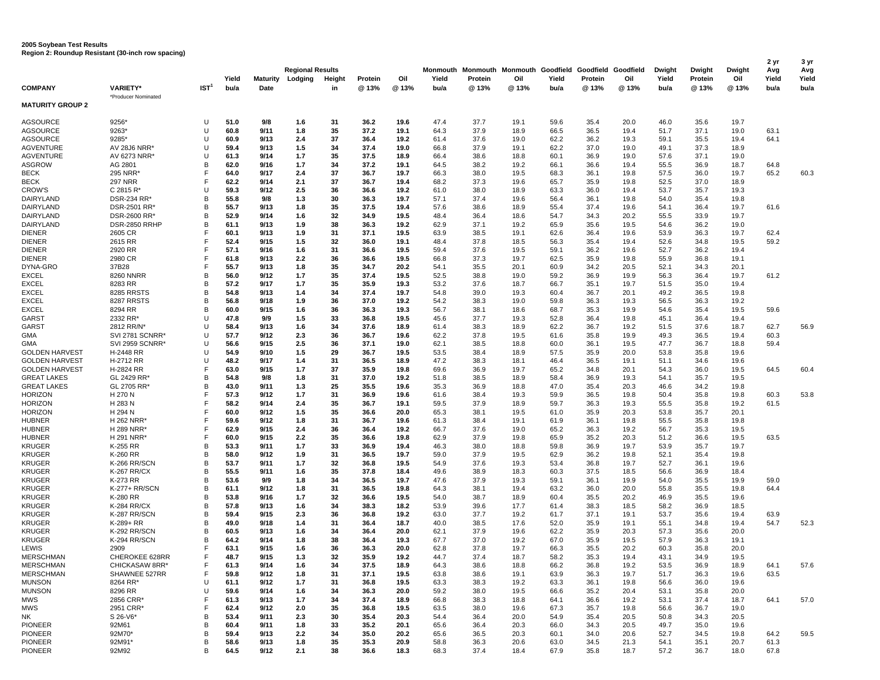## **2005 Soybean Test Results Region 2: Roundup Resistant (30-inch row spacing)**

| <b>COMPANY</b>                       | <b>VARIETY*</b>                 | IST <sup>1</sup> | Yield<br>bu/a | <b>Maturity</b><br>Date | <b>Regional Results</b><br>Lodging | Height<br>in | Protein<br>@13% | Oil<br>@ 13% | Monmouth<br>Yield<br>bu/a | Protein<br>@ 13% | Monmouth Monmouth Goodfield Goodfield Goodfield<br>Oil<br>@ 13% | Yield<br>bu/a | Protein<br>@ 13% | Oil<br>@ 13% | <b>Dwight</b><br>Yield<br>bu/a | Dwight<br>Protein<br>@ 13% | Dwight<br>Oil<br>@ 13% | 2 yr<br>Avg<br>Yield<br>bu/a | 3 yr<br>Avg<br>Yield<br>bu/a |
|--------------------------------------|---------------------------------|------------------|---------------|-------------------------|------------------------------------|--------------|-----------------|--------------|---------------------------|------------------|-----------------------------------------------------------------|---------------|------------------|--------------|--------------------------------|----------------------------|------------------------|------------------------------|------------------------------|
| <b>MATURITY GROUP 2</b>              | *Producer Nominated             |                  |               |                         |                                    |              |                 |              |                           |                  |                                                                 |               |                  |              |                                |                            |                        |                              |                              |
| AGSOURCE                             | 9256*                           | U                | 51.0          | 9/8                     | 1.6                                | 31           | 36.2            | 19.6         | 47.4                      | 37.7             | 19.1                                                            | 59.6          | 35.4             | 20.0         | 46.0                           | 35.6                       | 19.7                   |                              |                              |
| <b>AGSOURCE</b>                      | 9263*                           | U                | 60.8          | 9/11                    | 1.8                                | 35           | 37.2            | 19.1         | 64.3                      | 37.9             | 18.9                                                            | 66.5          | 36.5             | 19.4         | 51.7                           | 37.1                       | 19.0                   | 63.1                         |                              |
| <b>AGSOURCE</b>                      | 9285*                           | U                | 60.9          | 9/13                    | 2.4                                | 37           | 36.4            | 19.2         | 61.4                      | 37.6             | 19.0                                                            | 62.2          | 36.2             | 19.3         | 59.1                           | 35.5                       | 19.4                   | 64.1                         |                              |
| <b>AGVENTURE</b><br><b>AGVENTURE</b> | AV 28J6 NRR*<br>AV 6273 NRR*    | U<br>U           | 59.4<br>61.3  | 9/13<br>9/14            | 1.5<br>1.7                         | 34<br>35     | 37.4<br>37.5    | 19.0<br>18.9 | 66.8<br>66.4              | 37.9<br>38.6     | 19.1<br>18.8                                                    | 62.2<br>60.1  | 37.0<br>36.9     | 19.0<br>19.0 | 49.1<br>57.6                   | 37.3<br>37.1               | 18.9<br>19.0           |                              |                              |
| <b>ASGROW</b>                        | AG 2801                         | B                | 62.0          | 9/16                    | 1.7                                | 34           | 37.2            | 19.1         | 64.5                      | 38.2             | 19.2                                                            | 66.1          | 36.6             | 19.4         | 55.5                           | 36.9                       | 18.7                   | 64.8                         |                              |
| <b>BECK</b>                          | 295 NRR                         | F                | 64.0          | 9/17                    | 2.4                                | 37           | 36.7            | 19.7         | 66.3                      | 38.0             | 19.5                                                            | 68.3          | 36.1             | 19.8         | 57.5                           | 36.0                       | 19.7                   | 65.2                         | 60.3                         |
| <b>BECK</b>                          | <b>297 NRR</b>                  | F                | 62.2          | 9/14                    | 2.1                                | 37           | 36.7            | 19.4         | 68.2                      | 37.3             | 19.6                                                            | 65.7          | 35.9             | 19.8         | 52.5                           | 37.0                       | 18.9                   |                              |                              |
| <b>CROW'S</b>                        | C 2815 R'                       | U                | 59.3          | 9/12                    | 2.5                                | 36           | 36.6            | 19.2         | 61.0                      | 38.0             | 18.9                                                            | 63.3          | 36.0             | 19.4         | 53.7                           | 35.7                       | 19.3                   |                              |                              |
| DAIRYLAND                            | DSR-234 RR*                     | B                | 55.8          | 9/8                     | 1.3                                | 30           | 36.3            | 19.7         | 57.1                      | 37.4             | 19.6                                                            | 56.4          | 36.1             | 19.8         | 54.0                           | 35.4                       | 19.8                   |                              |                              |
| DAIRYLAND                            | DSR-2501 RR*                    | B                | 55.7          | 9/13                    | 1.8                                | 35           | 37.5            | 19.4         | 57.6                      | 38.6             | 18.9                                                            | 55.4          | 37.4             | 19.6         | 54.1                           | 36.4                       | 19.7                   | 61.6                         |                              |
| DAIRYLAND                            | DSR-2600 RR'                    | B                | 52.9          | 9/14                    | 1.6                                | 32           | 34.9            | 19.5         | 48.4                      | 36.4             | 18.6                                                            | 54.7          | 34.3             | 20.2         | 55.5                           | 33.9                       | 19.7                   |                              |                              |
| DAIRYLAND                            | DSR-2850 RRHP                   | в<br>F           | 61.1          | 9/13                    | 1.9                                | 38           | 36.3            | 19.2         | 62.9                      | 37.1             | 19.2                                                            | 65.9          | 35.6             | 19.5         | 54.6                           | 36.2                       | 19.0                   |                              |                              |
| <b>DIENER</b><br><b>DIENER</b>       | 2605 CR<br>2615 RR              | F                | 60.1<br>52.4  | 9/13<br>9/15            | 1.9<br>1.5                         | 31<br>32     | 37.1<br>36.0    | 19.5<br>19.1 | 63.9<br>48.4              | 38.5<br>37.8     | 19.1<br>18.5                                                    | 62.6<br>56.3  | 36.4<br>35.4     | 19.6<br>19.4 | 53.9<br>52.6                   | 36.3<br>34.8               | 19.7<br>19.5           | 62.4<br>59.2                 |                              |
| <b>DIENER</b>                        | 2920 RR                         | F                | 57.1          | 9/16                    | 1.6                                | 31           | 36.6            | 19.5         | 59.4                      | 37.6             | 19.5                                                            | 59.1          | 36.2             | 19.6         | 52.7                           | 36.2                       | 19.4                   |                              |                              |
| <b>DIENER</b>                        | 2980 CR                         | F                | 61.8          | 9/13                    | 2.2                                | 36           | 36.6            | 19.5         | 66.8                      | 37.3             | 19.7                                                            | 62.5          | 35.9             | 19.8         | 55.9                           | 36.8                       | 19.1                   |                              |                              |
| DYNA-GRO                             | 37B28                           | F                | 55.7          | 9/13                    | 1.8                                | 35           | 34.7            | 20.2         | 54.1                      | 35.5             | 20.1                                                            | 60.9          | 34.2             | 20.5         | 52.1                           | 34.3                       | 20.1                   |                              |                              |
| <b>EXCEL</b>                         | 8260 NNRR                       | B                | 56.0          | 9/12                    | 1.7                                | 35           | 37.4            | 19.5         | 52.5                      | 38.8             | 19.0                                                            | 59.2          | 36.9             | 19.9         | 56.3                           | 36.4                       | 19.7                   | 61.2                         |                              |
| <b>EXCEL</b>                         | 8283 RR                         | в                | 57.2          | 9/17                    | 1.7                                | 35           | 35.9            | 19.3         | 53.2                      | 37.6             | 18.7                                                            | 66.7          | 35.1             | 19.7         | 51.5                           | 35.0                       | 19.4                   |                              |                              |
| <b>EXCEL</b>                         | 8285 RRSTS                      | B                | 54.8          | 9/13                    | 1.4                                | 34           | 37.4            | 19.7         | 54.8                      | 39.0             | 19.3                                                            | 60.4          | 36.7             | 20.1         | 49.2                           | 36.5                       | 19.8                   |                              |                              |
| <b>EXCEL</b>                         | 8287 RRSTS                      | B                | 56.8          | 9/18                    | 1.9                                | 36           | 37.0            | 19.2         | 54.2                      | 38.3             | 19.0                                                            | 59.8          | 36.3             | 19.3         | 56.5                           | 36.3                       | 19.2                   |                              |                              |
| <b>EXCEL</b>                         | 8294 RR                         | в                | 60.0          | 9/15                    | 1.6                                | 36           | 36.3            | 19.3         | 56.7                      | 38.1             | 18.6                                                            | 68.7          | 35.3             | 19.9         | 54.6                           | 35.4                       | 19.5                   | 59.6                         |                              |
| GARST<br>GARST                       | 2332 RR<br>2812 RR/N*           | U<br>U           | 47.8<br>58.4  | 9/9<br>9/13             | 1.5<br>1.6                         | 33<br>34     | 36.8<br>37.6    | 19.5<br>18.9 | 45.6<br>61.4              | 37.7<br>38.3     | 19.3<br>18.9                                                    | 52.8<br>62.2  | 36.4<br>36.7     | 19.8<br>19.2 | 45.1<br>51.5                   | 36.4<br>37.6               | 19.4<br>18.7           | 62.7                         | 56.9                         |
| <b>GMA</b>                           | SVI 2781 SCNRR*                 | U                | 57.7          | 9/12                    | 2.3                                | 36           | 36.7            | 19.6         | 62.2                      | 37.8             | 19.5                                                            | 61.6          | 35.8             | 19.9         | 49.3                           | 36.5                       | 19.4                   | 60.3                         |                              |
| GMA                                  | <b>SVI 2959 SCNRR*</b>          | U                | 56.6          | 9/15                    | 2.5                                | 36           | 37.1            | 19.0         | 62.1                      | 38.5             | 18.8                                                            | 60.0          | 36.1             | 19.5         | 47.7                           | 36.7                       | 18.8                   | 59.4                         |                              |
| <b>GOLDEN HARVEST</b>                | H-2448 RR                       | U                | 54.9          | 9/10                    | 1.5                                | 29           | 36.7            | 19.5         | 53.5                      | 38.4             | 18.9                                                            | 57.5          | 35.9             | 20.0         | 53.8                           | 35.8                       | 19.6                   |                              |                              |
| <b>GOLDEN HARVEST</b>                | H-2712 RR                       | U                | 48.2          | 9/17                    | 1.4                                | 31           | 36.5            | 18.9         | 47.2                      | 38.3             | 18.1                                                            | 46.4          | 36.5             | 19.1         | 51.1                           | 34.6                       | 19.6                   |                              |                              |
| <b>GOLDEN HARVEST</b>                | H-2824 RR                       | F                | 63.0          | 9/15                    | 1.7                                | 37           | 35.9            | 19.8         | 69.6                      | 36.9             | 19.7                                                            | 65.2          | 34.8             | 20.1         | 54.3                           | 36.0                       | 19.5                   | 64.5                         | 60.4                         |
| <b>GREAT LAKES</b>                   | GL 2429 RR'                     | B                | 54.8          | 9/8                     | 1.8                                | 31           | 37.0            | 19.2         | 51.8                      | 38.5             | 18.9                                                            | 58.4          | 36.9             | 19.3         | 54.1                           | 35.7                       | 19.5                   |                              |                              |
| <b>GREAT LAKES</b>                   | GL 2705 RR*                     | в                | 43.0          | 9/11                    | 1.3                                | 25           | 35.5            | 19.6         | 35.3                      | 36.9             | 18.8                                                            | 47.0          | 35.4             | 20.3         | 46.6                           | 34.2                       | 19.8                   |                              |                              |
| <b>HORIZON</b>                       | H 270 N                         | F<br>F           | 57.3          | 9/12                    | 1.7                                | 31           | 36.9            | 19.6         | 61.6                      | 38.4             | 19.3                                                            | 59.9          | 36.5             | 19.8         | 50.4                           | 35.8                       | 19.8                   | 60.3                         | 53.8                         |
| <b>HORIZON</b><br><b>HORIZON</b>     | H 283 N<br>H 294 N              | F                | 58.2<br>60.0  | 9/14<br>9/12            | 2.4<br>1.5                         | 35<br>35     | 36.7<br>36.6    | 19.1<br>20.0 | 59.5<br>65.3              | 37.9<br>38.1     | 18.9<br>19.5                                                    | 59.7<br>61.0  | 36.3<br>35.9     | 19.3<br>20.3 | 55.5<br>53.8                   | 35.8<br>35.7               | 19.2<br>20.1           | 61.5                         |                              |
| <b>HUBNER</b>                        | H 262 NRR*                      | F                | 59.6          | 9/12                    | 1.8                                | 31           | 36.7            | 19.6         | 61.3                      | 38.4             | 19.1                                                            | 61.9          | 36.1             | 19.8         | 55.5                           | 35.8                       | 19.8                   |                              |                              |
| <b>HUBNER</b>                        | H 289 NRR*                      | F                | 62.9          | 9/15                    | 2.4                                | 36           | 36.4            | 19.2         | 66.7                      | 37.6             | 19.0                                                            | 65.2          | 36.3             | 19.2         | 56.7                           | 35.3                       | 19.5                   |                              |                              |
| <b>HUBNER</b>                        | <b>H 291 NRR</b>                | F                | 60.0          | 9/15                    | 2.2                                | 35           | 36.6            | 19.8         | 62.9                      | 37.9             | 19.8                                                            | 65.9          | 35.2             | 20.3         | 51.2                           | 36.6                       | 19.5                   | 63.5                         |                              |
| <b>KRUGER</b>                        | K-255 RR                        | в                | 53.3          | 9/11                    | 1.7                                | 33           | 36.9            | 19.4         | 46.3                      | 38.0             | 18.8                                                            | 59.8          | 36.9             | 19.7         | 53.9                           | 35.7                       | 19.7                   |                              |                              |
| <b>KRUGER</b>                        | K-260 RR                        | B                | 58.0          | 9/12                    | 1.9                                | 31           | 36.5            | 19.7         | 59.0                      | 37.9             | 19.5                                                            | 62.9          | 36.2             | 19.8         | 52.1                           | 35.4                       | 19.8                   |                              |                              |
| <b>KRUGER</b>                        | K-266 RR/SCN                    | в                | 53.7          | 9/11                    | 1.7                                | 32           | 36.8            | 19.5         | 54.9                      | 37.6             | 19.3                                                            | 53.4          | 36.8             | 19.7         | 52.7                           | 36.1                       | 19.6                   |                              |                              |
| <b>KRUGER</b>                        | <b>K-267 RR/CX</b>              | B<br>в           | 55.5<br>53.6  | 9/11                    | 1.6                                | 35           | 37.8            | 18.4         | 49.6                      | 38.9             | 18.3                                                            | 60.3          | 37.5             | 18.5         | 56.6                           | 36.9                       | 18.4                   |                              |                              |
| <b>KRUGER</b><br><b>KRUGER</b>       | K-273 RR<br>K-277+ RR/SCN       | B                | 61.1          | 9/9<br>9/12             | 1.8<br>1.8                         | 34<br>31     | 36.5<br>36.5    | 19.7<br>19.8 | 47.6<br>64.3              | 37.9<br>38.1     | 19.3<br>19.4                                                    | 59.1<br>63.2  | 36.1<br>36.0     | 19.9<br>20.0 | 54.0<br>55.8                   | 35.5<br>35.5               | 19.9<br>19.8           | 59.0<br>64.4                 |                              |
| <b>KRUGER</b>                        | K-280 RR                        | в                | 53.8          | 9/16                    | 1.7                                | 32           | 36.6            | 19.5         | 54.0                      | 38.7             | 18.9                                                            | 60.4          | 35.5             | 20.2         | 46.9                           | 35.5                       | 19.6                   |                              |                              |
| <b>KRUGER</b>                        | <b>K-284 RR/CX</b>              | в                | 57.8          | 9/13                    | 1.6                                | 34           | 38.3            | 18.2         | 53.9                      | 39.6             | 17.7                                                            | 61.4          | 38.3             | 18.5         | 58.2                           | 36.9                       | 18.5                   |                              |                              |
| <b>KRUGER</b>                        | K-287 RR/SCN                    | B                | 59.4          | 9/15                    | 2.3                                | 36           | 36.8            | 19.2         | 63.0                      | 37.7             | 19.2                                                            | 61.7          | 37.1             | 19.1         | 53.7                           | 35.6                       | 19.4                   | 63.9                         |                              |
| <b>KRUGER</b>                        | K-289+ RR                       | в                | 49.0          | 9/18                    | 1.4                                | 31           | 36.4            | 18.7         | 40.0                      | 38.5             | 17.6                                                            | 52.0          | 35.9             | 19.1         | 55.1                           | 34.8                       | 19.4                   | 54.7                         | 52.3                         |
| <b>KRUGER</b>                        | K-292 RR/SCN                    | в                | 60.5          | 9/13                    | 1.6                                | 34           | 36.4            | 20.0         | 62.1                      | 37.9             | 19.6                                                            | 62.2          | 35.9             | 20.3         | 57.3                           | 35.6                       | 20.0                   |                              |                              |
| <b>KRUGER</b>                        | K-294 RR/SCN                    | B                | 64.2          | 9/14                    | 1.8                                | 38           | 36.4            | 19.3         | 67.7                      | 37.0             | 19.2                                                            | 67.0          | 35.9             | 19.5         | 57.9                           | 36.3                       | 19.1                   |                              |                              |
| <b>LEWIS</b>                         | 2909                            | F                | 63.1          | 9/15                    | 1.6                                | 36           | 36.3            | 20.0         | 62.8                      | 37.8             | 19.7                                                            | 66.3          | 35.5             | 20.2         | 60.3                           | 35.8                       | 20.0                   |                              |                              |
| <b>MERSCHMAN</b>                     | CHEROKEE 628RR                  | F                | 48.7          | 9/15                    | 1.3                                | 32           | 35.9            | 19.2         | 44.7                      | 37.4             | 18.7                                                            | 58.2          | 35.3             | 19.4         | 43.1                           | 34.9                       | 19.5                   |                              |                              |
| <b>MERSCHMAN</b><br><b>MERSCHMAN</b> | CHICKASAW 8RR*<br>SHAWNEE 527RR | F                | 61.3<br>59.8  | 9/14<br>9/12            | 1.6                                | 34           | 37.5<br>37.1    | 18.9<br>19.5 | 64.3<br>63.8              | 38.6<br>38.6     | 18.8                                                            | 66.2<br>63.9  | 36.8<br>36.3     | 19.2<br>19.7 | 53.5<br>51.7                   | 36.9<br>36.3               | 18.9<br>19.6           | 64.1<br>63.5                 | 57.6                         |
| <b>MUNSON</b>                        | 8264 RR*                        | U                | 61.1          | 9/12                    | 1.8<br>1.7                         | 31<br>31     | 36.8            | 19.5         | 63.3                      | 38.3             | 19.1<br>19.2                                                    | 63.3          | 36.1             | 19.8         | 56.6                           | 36.0                       | 19.6                   |                              |                              |
| <b>MUNSON</b>                        | 8296 RR                         | U                | 59.6          | 9/14                    | 1.6                                | 34           | 36.3            | 20.0         | 59.2                      | 38.0             | 19.5                                                            | 66.6          | 35.2             | 20.4         | 53.1                           | 35.8                       | 20.0                   |                              |                              |
| MWS                                  | 2856 CRR*                       | F                | 61.3          | 9/13                    | 1.7                                | 34           | 37.4            | 18.9         | 66.8                      | 38.3             | 18.8                                                            | 64.1          | 36.6             | 19.2         | 53.1                           | 37.4                       | 18.7                   | 64.1                         | 57.0                         |
| <b>MWS</b>                           | 2951 CRR*                       | F                | 62.4          | 9/12                    | 2.0                                | 35           | 36.8            | 19.5         | 63.5                      | 38.0             | 19.6                                                            | 67.3          | 35.7             | 19.8         | 56.6                           | 36.7                       | 19.0                   |                              |                              |
| NK                                   | S 26-V6*                        | В                | 53.4          | 9/11                    | 2.3                                | 30           | 35.4            | 20.3         | 54.4                      | 36.4             | 20.0                                                            | 54.9          | 35.4             | 20.5         | 50.8                           | 34.3                       | 20.5                   |                              |                              |
| <b>PIONEER</b>                       | 92M61                           | B                | 60.4          | 9/11                    | 1.8                                | 33           | 35.2            | 20.1         | 65.6                      | 36.4             | 20.3                                                            | 66.0          | 34.3             | 20.5         | 49.7                           | 35.0                       | 19.6                   |                              |                              |
| <b>PIONEER</b>                       | 92M70*                          | B                | 59.4          | 9/13                    | 2.2                                | 34           | 35.0            | 20.2         | 65.6                      | 36.5             | 20.3                                                            | 60.1          | 34.0             | 20.6         | 52.7                           | 34.5                       | 19.8                   | 64.2                         | 59.5                         |
| <b>PIONEER</b>                       | 92M91*                          | B<br>B           | 58.6          | 9/13                    | 1.8                                | 35           | 35.3            | 20.9         | 58.8                      | 36.3             | 20.6                                                            | 63.0          | 34.5             | 21.3         | 54.1                           | 35.1                       | 20.7                   | 61.3                         |                              |
| <b>PIONEER</b>                       | 92M92                           |                  | 64.5          | 9/12                    | 2.1                                | 38           | 36.6            | 18.3         | 68.3                      | 37.4             | 18.4                                                            | 67.9          | 35.8             | 18.7         | 57.2                           | 36.7                       | 18.0                   | 67.8                         |                              |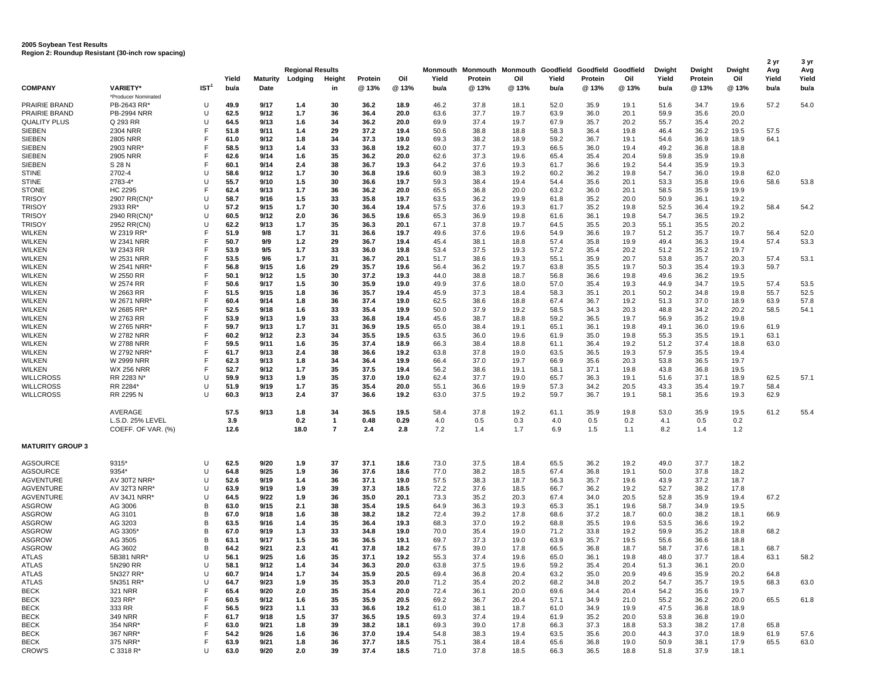| Region 2: Roundup Resistant (30-inch row spacing) |                                        |                  |              |                 |                                    |                     |              |              |              |                                                                     |              |              |              |              |                 |                   |               |                      |                      |
|---------------------------------------------------|----------------------------------------|------------------|--------------|-----------------|------------------------------------|---------------------|--------------|--------------|--------------|---------------------------------------------------------------------|--------------|--------------|--------------|--------------|-----------------|-------------------|---------------|----------------------|----------------------|
|                                                   |                                        |                  | Yield        | <b>Maturity</b> | <b>Regional Results</b><br>Lodging | Height              | Protein      | Oil          | Yield        | Monmouth Monmouth Monmouth Goodfield Goodfield Goodfield<br>Protein | Oil          | Yield        | Protein      | Oil          | Dwight<br>Yield | Dwight<br>Protein | Dwight<br>Oil | 2 yr<br>Avg<br>Yield | 3 yr<br>Avg<br>Yield |
| <b>COMPANY</b>                                    | <b>VARIETY*</b>                        | IST <sup>1</sup> | bu/a         | Date            |                                    | in                  | @ 13%        | @13%         | bu/a         | @ 13%                                                               | @ 13%        | bu/a         | @ 13%        | @ 13%        | bu/a            | @ 13%             | @ 13%         | bu/a                 | bu/a                 |
| <b>PRAIRIE BRAND</b>                              | *Producer Nominated<br>PB-2643 RR*     | U                | 49.9         | 9/17            | 1.4                                | 30                  | 36.2         | 18.9         | 46.2         | 37.8                                                                | 18.1         | 52.0         | 35.9         | 19.1         | 51.6            | 34.7              | 19.6          | 57.2                 | 54.0                 |
| PRAIRIE BRAND                                     | <b>PB-2994 NRR</b>                     | U                | 62.5         | 9/12            | 1.7                                | 36                  | 36.4         | 20.0         | 63.6         | 37.7                                                                | 19.7         | 63.9         | 36.0         | 20.1         | 59.9            | 35.6              | 20.0          |                      |                      |
| <b>QUALITY PLUS</b>                               | Q 293 RR                               | U                | 64.5         | 9/13            | 1.6                                | 34                  | 36.2         | 20.0         | 69.9         | 37.4                                                                | 19.7         | 67.9         | 35.7         | 20.2         | 55.7            | 35.4              | 20.2          |                      |                      |
| SIEBEN                                            | 2304 NRR                               | F                | 51.8         | 9/11            | 1.4                                | 29                  | 37.2         | 19.4         | 50.6         | 38.8                                                                | 18.8         | 58.3         | 36.4         | 19.8         | 46.4            | 36.2              | 19.5          | 57.5                 |                      |
| <b>SIEBEN</b>                                     | <b>2805 NRR</b>                        | F                | 61.0         | 9/12            | 1.8                                | 34                  | 37.3         | 19.0         | 69.3         | 38.2                                                                | 18.9         | 59.2         | 36.7         | 19.1         | 54.6            | 36.9              | 18.9          | 64.1                 |                      |
| <b>SIEBEN</b>                                     | 2903 NRR                               | F                | 58.5         | 9/13            | 1.4                                | 33                  | 36.8         | 19.2         | 60.0         | 37.7                                                                | 19.3         | 66.5         | 36.0         | 19.4         | 49.2            | 36.8              | 18.8          |                      |                      |
| <b>SIEBEN</b>                                     | 2905 NRR                               | F                | 62.6         | 9/14            | 1.6                                | 35                  | 36.2         | 20.0         | 62.6         | 37.3                                                                | 19.6         | 65.4         | 35.4         | 20.4         | 59.8            | 35.9              | 19.8          |                      |                      |
| <b>SIEBEN</b>                                     | S 28 N                                 | F                | 60.1         | 9/14            | 2.4                                | 38                  | 36.7         | 19.3         | 64.2         | 37.6                                                                | 19.3         | 61.7         | 36.6         | 19.2         | 54.4            | 35.9              | 19.3          |                      |                      |
| <b>STINE</b>                                      | 2702-4                                 | U                | 58.6         | 9/12            | 1.7                                | 30                  | 36.8         | 19.6         | 60.9         | 38.3                                                                | 19.2         | 60.2         | 36.2         | 19.8         | 54.7            | 36.0              | 19.8          | 62.0                 |                      |
| <b>STINE</b>                                      | 2783-4*                                | U                | 55.7         | 9/10            | 1.5                                | 30                  | 36.6         | 19.7         | 59.3         | 38.4                                                                | 19.4         | 54.4         | 35.6         | 20.1         | 53.3            | 35.8              | 19.6          | 58.6                 | 53.8                 |
| <b>STONE</b>                                      | HC 2295                                | F                | 62.4         | 9/13            | 1.7                                | 36                  | 36.2         | 20.0         | 65.5         | 36.8                                                                | 20.0         | 63.2         | 36.0         | 20.1         | 58.5            | 35.9              | 19.9          |                      |                      |
| <b>TRISOY</b>                                     | 2907 RR(CN)*                           | U                | 58.7         | 9/16            | 1.5                                | 33                  | 35.8         | 19.7         | 63.5         | 36.2                                                                | 19.9         | 61.8         | 35.2         | 20.0         | 50.9            | 36.1              | 19.2          |                      |                      |
| <b>TRISOY</b><br><b>TRISOY</b>                    | 2933 RR'<br>2940 RR(CN)*               | U<br>U           | 57.2<br>60.5 | 9/15<br>9/12    | 1.7<br>2.0                         | 30<br>36            | 36.4<br>36.5 | 19.4<br>19.6 | 57.5<br>65.3 | 37.6<br>36.9                                                        | 19.3<br>19.8 | 61.7<br>61.6 | 35.2<br>36.1 | 19.8<br>19.8 | 52.5<br>54.7    | 36.4<br>36.5      | 19.2<br>19.2  | 58.4                 | 54.2                 |
| <b>TRISOY</b>                                     | 2952 RR(CN)                            | U                | 62.2         | 9/13            | 1.7                                | 35                  | 36.3         | 20.1         | 67.1         | 37.8                                                                | 19.7         | 64.5         | 35.5         | 20.3         | 55.1            | 35.5              | 20.2          |                      |                      |
| <b>WILKEN</b>                                     | W 2319 RR*                             | F                | 51.9         | 9/8             | 1.7                                | 31                  | 36.6         | 19.7         | 49.6         | 37.6                                                                | 19.6         | 54.9         | 36.6         | 19.7         | 51.2            | 35.7              | 19.7          | 56.4                 | 52.0                 |
| <b>WILKEN</b>                                     | <b>W 2341 NRR</b>                      | F                | 50.7         | 9/9             | 1.2                                | 29                  | 36.7         | 19.4         | 45.4         | 38.1                                                                | 18.8         | 57.4         | 35.8         | 19.9         | 49.4            | 36.3              | 19.4          | 57.4                 | 53.3                 |
| <b>WILKEN</b>                                     | W 2343 RR                              | F                | 53.9         | 9/5             | 1.7                                | 33                  | 36.0         | 19.8         | 53.4         | 37.5                                                                | 19.3         | 57.2         | 35.4         | 20.2         | 51.2            | 35.2              | 19.7          |                      |                      |
| <b>WILKEN</b>                                     | <b>W 2531 NRR</b>                      | F                | 53.5         | 9/6             | 1.7                                | 31                  | 36.7         | 20.1         | 51.7         | 38.6                                                                | 19.3         | 55.1         | 35.9         | 20.7         | 53.8            | 35.7              | 20.3          | 57.4                 | 53.1                 |
| <b>WILKEN</b>                                     | W 2541 NRR*                            | F                | 56.8         | 9/15            | 1.6                                | 29                  | 35.7         | 19.6         | 56.4         | 36.2                                                                | 19.7         | 63.8         | 35.5         | 19.7         | 50.3            | 35.4              | 19.3          | 59.7                 |                      |
| <b>WILKEN</b>                                     | W 2550 RR                              | F                | 50.1         | 9/12            | 1.5                                | 30                  | 37.2         | 19.3         | 44.0         | 38.8                                                                | 18.7         | 56.8         | 36.6         | 19.8         | 49.6            | 36.2              | 19.5          |                      |                      |
| <b>WILKEN</b>                                     | W 2574 RR                              | F                | 50.6         | 9/17            | 1.5                                | 30                  | 35.9         | 19.0         | 49.9         | 37.6                                                                | 18.0         | 57.0         | 35.4         | 19.3         | 44.9            | 34.7              | 19.5          | 57.4                 | 53.5                 |
| <b>WILKEN</b>                                     | W 2663 RR                              | F                | 51.5         | 9/15            | 1.8                                | 36                  | 35.7         | 19.4         | 45.9         | 37.3                                                                | 18.4         | 58.3         | 35.1         | 20.1         | 50.2            | 34.8              | 19.8          | 55.7                 | 52.5                 |
| <b>WILKEN</b>                                     | W 2671 NRR*                            | F                | 60.4         | 9/14            | 1.8                                | 36                  | 37.4         | 19.0         | 62.5         | 38.6                                                                | 18.8         | 67.4         | 36.7         | 19.2         | 51.3            | 37.0              | 18.9          | 63.9                 | 57.8                 |
| <b>WILKEN</b>                                     | W 2685 RR*                             | F                | 52.5         | 9/18            | 1.6                                | 33                  | 35.4         | 19.9         | 50.0         | 37.9                                                                | 19.2         | 58.5         | 34.3         | 20.3         | 48.8            | 34.2              | 20.2          | 58.5                 | 54.1                 |
| <b>WILKEN</b>                                     | W 2763 RR                              | F                | 53.9         | 9/13            | 1.9                                | 33                  | 36.8         | 19.4         | 45.6         | 38.7                                                                | 18.8         | 59.2         | 36.5         | 19.7         | 56.9            | 35.2              | 19.8          |                      |                      |
| <b>WILKEN</b>                                     | W 2765 NRR*                            | F                | 59.7         | 9/13            | 1.7                                | 31                  | 36.9         | 19.5         | 65.0         | 38.4                                                                | 19.1         | 65.1         | 36.1         | 19.8         | 49.1            | 36.0              | 19.6          | 61.9                 |                      |
| <b>WILKEN</b>                                     | W 2782 NRR                             | F                | 60.2         | 9/12            | 2.3                                | 34                  | 35.5         | 19.5         | 63.5         | 36.0                                                                | 19.6         | 61.9         | 35.0         | 19.8         | 55.3            | 35.5              | 19.1          | 63.1                 |                      |
| <b>WILKEN</b>                                     | <b>W 2788 NRR</b>                      | F                | 59.5         | 9/11            | 1.6                                | 35                  | 37.4         | 18.9         | 66.3         | 38.4                                                                | 18.8         | 61.1         | 36.4         | 19.2         | 51.2            | 37.4              | 18.8          | 63.0                 |                      |
| <b>WILKEN</b>                                     | W 2792 NRR*                            | F                | 61.7         | 9/13            | 2.4                                | 38                  | 36.6         | 19.2         | 63.8         | 37.8                                                                | 19.0         | 63.5         | 36.5         | 19.3         | 57.9            | 35.5              | 19.4          |                      |                      |
| <b>WILKEN</b>                                     | <b>W 2999 NRR</b>                      | F<br>F           | 62.3         | 9/13            | 1.8                                | 34                  | 36.4         | 19.9         | 66.4         | 37.0                                                                | 19.7         | 66.9         | 35.6         | 20.3         | 53.8            | 36.5              | 19.7          |                      |                      |
| <b>WILKEN</b><br><b>WILLCROSS</b>                 | <b>WX 256 NRR</b><br>RR 2283 N*        | U                | 52.7<br>59.9 | 9/12<br>9/13    | 1.7<br>1.9                         | 35<br>35            | 37.5<br>37.0 | 19.4<br>19.0 | 56.2<br>62.4 | 38.6<br>37.7                                                        | 19.1<br>19.0 | 58.1<br>65.7 | 37.1<br>36.3 | 19.8<br>19.1 | 43.8            | 36.8<br>37.1      | 19.5          |                      |                      |
| <b>WILLCROSS</b>                                  | RR 2284*                               | U                | 51.9         | 9/19            | 1.7                                | 35                  | 35.4         | 20.0         | 55.1         | 36.6                                                                | 19.9         | 57.3         | 34.2         | 20.5         | 51.6<br>43.3    | 35.4              | 18.9<br>19.7  | 62.5<br>58.4         | 57.1                 |
| <b>WILLCROSS</b>                                  | RR 2295 N                              | U                | 60.3         | 9/13            | 2.4                                | 37                  | 36.6         | 19.2         | 63.0         | 37.5                                                                | 19.2         | 59.7         | 36.7         | 19.1         | 58.1            | 35.6              | 19.3          | 62.9                 |                      |
|                                                   |                                        |                  |              |                 |                                    |                     |              |              |              |                                                                     |              |              |              |              |                 |                   |               |                      |                      |
|                                                   | AVERAGE                                |                  | 57.5         | 9/13            | 1.8                                | 34                  | 36.5         | 19.5         | 58.4         | 37.8                                                                | 19.2         | 61.1         | 35.9         | 19.8         | 53.0            | 35.9              | 19.5          | 61.2                 | 55.4                 |
|                                                   | L.S.D. 25% LEVEL<br>COEFF. OF VAR. (%) |                  | 3.9<br>12.6  |                 | 0.2<br>18.0                        | 1<br>$\overline{7}$ | 0.48<br>2.4  | 0.29<br>2.8  | 4.0<br>7.2   | 0.5<br>1.4                                                          | 0.3<br>1.7   | 4.0<br>6.9   | 0.5<br>1.5   | 0.2<br>1.1   | 4.1<br>8.2      | 0.5<br>1.4        | 0.2<br>1.2    |                      |                      |
|                                                   |                                        |                  |              |                 |                                    |                     |              |              |              |                                                                     |              |              |              |              |                 |                   |               |                      |                      |
| <b>MATURITY GROUP 3</b>                           |                                        |                  |              |                 |                                    |                     |              |              |              |                                                                     |              |              |              |              |                 |                   |               |                      |                      |
| AGSOURCE                                          | 9315*                                  | U                | 62.5         | 9/20            | 1.9                                | 37                  | 37.1         | 18.6         | 73.0         | 37.5                                                                | 18.4         | 65.5         | 36.2         | 19.2         | 49.0            | 37.7              | 18.2          |                      |                      |
| AGSOURCE                                          | 9354*                                  | U                | 64.8         | 9/25            | 1.9                                | 36                  | 37.6         | 18.6         | 77.0         | 38.2                                                                | 18.5         | 67.4         | 36.8         | 19.1         | 50.0            | 37.8              | 18.2          |                      |                      |
| <b>AGVENTURE</b>                                  | AV 30T2 NRR*                           | U                | 52.6         | 9/19            | 1.4                                | 36                  | 37.1         | 19.0         | 57.5         | 38.3                                                                | 18.7         | 56.3         | 35.7         | 19.6         | 43.9            | 37.2              | 18.7          |                      |                      |
| <b>AGVENTURE</b>                                  | AV 32T3 NRR*                           | U                | 63.9         | 9/19            | 1.9                                | 39                  | 37.3         | 18.5         | 72.2         | 37.6                                                                | 18.5         | 66.7         | 36.2         | 19.2         | 52.7            | 38.2              | 17.8          |                      |                      |
| <b>AGVENTURE</b>                                  | AV 34J1 NRR*                           | U                | 64.5         | 9/22            | 1.9                                | 36                  | 35.0         | 20.1         | 73.3         | 35.2                                                                | 20.3         | 67.4         | 34.0         | 20.5         | 52.8            | 35.9              | 19.4          | 67.2                 |                      |
| ASGROW                                            | AG 3006                                | в                | 63.0         | 9/15            | 2.1                                | 38                  | 35.4         | 19.5         | 64.9         | 36.3                                                                | 19.3         | 65.3         | 35.1         | 19.6         | 58.7            | 34.9              | 19.5          |                      |                      |
| <b>ASGROW</b>                                     | AG 3101                                | в                | 67.0         | 9/18            | 1.6                                | 38                  | 38.2         | 18.2         | 72.4         | 39.2                                                                | 17.8         | 68.6         | 37.2         | 18.7         | 60.0            | 38.2              | 18.1          | 66.9                 |                      |
| <b>ASGROW</b>                                     | AG 3203                                | B                | 63.5         | 9/16            | 1.4                                | 35                  | 36.4         | 19.3         | 68.3         | 37.0                                                                | 19.2         | 68.8         | 35.5         | 19.6         | 53.5            | 36.6              | 19.2          |                      |                      |
| <b>ASGROW</b>                                     | AG 3305                                | B<br>B           | 67.0         | 9/19            | 1.3                                | 33                  | 34.8         | 19.0         | 70.0         | 35.4                                                                | 19.0         | 71.2         | 33.8         | 19.2         | 59.9            | 35.2              | 18.8          | 68.2                 |                      |
| <b>ASGROW</b>                                     | AG 3505                                |                  | 63.1         | 9/17            | 1.5                                | 36                  | 36.5         | 19.1         | 69.7         | 37.3                                                                | 19.0         | 63.9         | 35.7         | 19.5         | 55.6            | 36.6              | 18.8          |                      |                      |
| ASGROW<br>ATLAS                                   | AG 3602<br>5B381 NRR*                  | в<br>U           | 64.2<br>56.1 | 9/21<br>9/25    | 2.3<br>1.6                         | 41<br>35            | 37.8<br>37.1 | 18.2<br>19.2 | 67.5         | 39.0<br>37.4                                                        | 17.8<br>19.6 | 66.5<br>65.0 | 36.8<br>36.1 | 18.7<br>19.8 | 58.7<br>48.0    | 37.6<br>37.7      | 18.1          | 68.7<br>63.1         | 58.2                 |
| ATLAS                                             | 5N290 RR                               | U                | 58.1         | 9/12            | 1.4                                | 34                  | 36.3         | 20.0         | 55.3<br>63.8 | 37.5                                                                | 19.6         | 59.2         | 35.4         | 20.4         | 51.3            | 36.1              | 18.4<br>20.0  |                      |                      |
| <b>ATLAS</b>                                      | 5N327 RR*                              | U                | 60.7         | 9/14            | 1.7                                | 34                  | 35.9         | 20.5         | 69.4         | 36.8                                                                | 20.4         | 63.2         | 35.0         | 20.9         | 49.6            | 35.9              | 20.2          | 64.8                 |                      |
| ATLAS                                             | 5N351 RR*                              | U                | 64.7         | 9/23            | 1.9                                | 35                  | 35.3         | 20.0         | 71.2         | 35.4                                                                | 20.2         | 68.2         | 34.8         | 20.2         | 54.7            | 35.7              | 19.5          | 68.3                 | 63.0                 |
| <b>BECK</b>                                       | <b>321 NRR</b>                         | F                | 65.4         | 9/20            | 2.0                                | 35                  | 35.4         | 20.0         | 72.4         | 36.1                                                                | 20.0         | 69.6         | 34.4         | 20.4         | 54.2            | 35.6              | 19.7          |                      |                      |
| <b>BECK</b>                                       | 323 RR*                                | F                | 60.5         | 9/12            | 1.6                                | 35                  | 35.9         | 20.5         | 69.2         | 36.7                                                                | 20.4         | 57.1         | 34.9         | 21.0         | 55.2            | 36.2              | 20.0          | 65.5                 | 61.8                 |
| <b>BECK</b>                                       | 333 RR                                 | F                | 56.5         | 9/23            | 1.1                                | 33                  | 36.6         | 19.2         | 61.0         | 38.1                                                                | 18.7         | 61.0         | 34.9         | 19.9         | 47.5            | 36.8              | 18.9          |                      |                      |
| <b>BECK</b>                                       | 349 NRR                                | F                | 61.7         | 9/18            | 1.5                                | 37                  | 36.5         | 19.5         | 69.3         | 37.4                                                                | 19.4         | 61.9         | 35.2         | 20.0         | 53.8            | 36.8              | 19.0          |                      |                      |
| BECK                                              | 354 NRR*                               | F                | 63.0         | 9/21            | 1.8                                | 39                  | 38.2         | 18.1         | 69.3         | 39.0                                                                | 17.8         | 66.3         | 37.3         | 18.8         | 53.3            | 38.2              | 17.8          | 65.8                 |                      |
| BECK                                              | 367 NRR*                               | F.               | 54.2         | 9/26            | 1.6                                | 36                  | 37.0         | 19.4         | 54.8         | 38.3                                                                | 19.4         | 63.5         | 35.6         | 20.0         | 44.3            | 37.0              | 18.9          | 61.9                 | 57.6                 |
| BECK                                              | 375 NRR*                               | F                | 63.9         | 9/21            | 1.8                                | 36                  | 37.7         | 18.5         | 75.1         | 38.4                                                                | 18.4         | 65.6         | 36.8         | 19.0         | 50.9            | 38.1              | 17.9          | 65.5                 | 63.0                 |
| CROW'S                                            | C 3318 R*                              | U                | 63.0         | 9/20            | 2.0                                | 39                  | 37.4         | 18.5         | 71.0         | 37.8                                                                | 18.5         | 66.3         | 36.5         | 18.8         | 51.8            | 37.9              | 18.1          |                      |                      |

**2005 Soybean Test Results**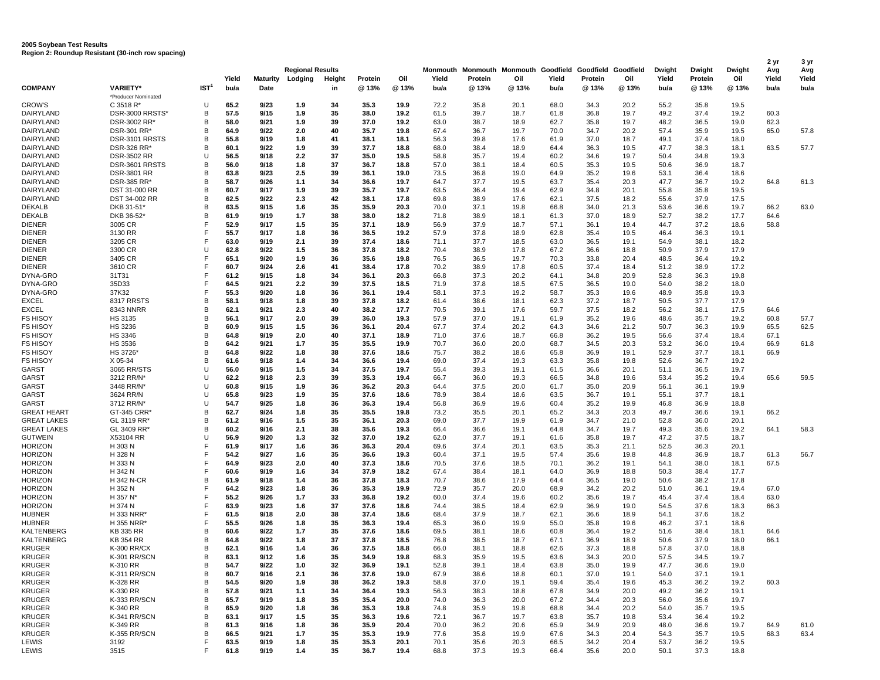## **2005 Soybean Test Results Region 2: Roundup Resistant (30-inch row spacing)**

|                                      |                               |                  |               |                  |                         |              |                  |              |               |                  |              |                                                          |                  |              |               |                  |              | 2 yr          | 3 yr          |
|--------------------------------------|-------------------------------|------------------|---------------|------------------|-------------------------|--------------|------------------|--------------|---------------|------------------|--------------|----------------------------------------------------------|------------------|--------------|---------------|------------------|--------------|---------------|---------------|
|                                      |                               |                  |               |                  | <b>Regional Results</b> |              |                  |              |               |                  |              | Monmouth Monmouth Monmouth Goodfield Goodfield Goodfield |                  |              | Dwight        | Dwight           | Dwight       | Avg           | Avg           |
| <b>COMPANY</b>                       | <b>VARIETY*</b>               | IST <sup>1</sup> | Yield<br>bu/a | Maturity<br>Date | Lodging                 | Height<br>in | Protein<br>@ 13% | Oil<br>@13%  | Yield<br>bu/a | Protein<br>@ 13% | Oil<br>@ 13% | Yield<br>bu/a                                            | Protein<br>@ 13% | Oil<br>@ 13% | Yield<br>bu/a | Protein<br>@ 13% | Oil<br>@ 13% | Yield<br>bu/a | Yield<br>bu/a |
|                                      | *Producer Nominated           |                  |               |                  |                         |              |                  |              |               |                  |              |                                                          |                  |              |               |                  |              |               |               |
| <b>CROW'S</b>                        | C 3518 R*                     | U                | 65.2          | 9/23             | 1.9                     | 34           | 35.3             | 19.9         | 72.2          | 35.8             | 20.1         | 68.0                                                     | 34.3             | 20.2         | 55.2          | 35.8             | 19.5         |               |               |
| DAIRYLAND                            | DSR-3000 RRSTS*               | В                | 57.5          | 9/15             | 1.9                     | 35           | 38.0             | 19.2         | 61.5          | 39.7             | 18.7         | 61.8                                                     | 36.8             | 19.7         | 49.2          | 37.4             | 19.2         | 60.3          |               |
| DAIRYLAND                            | DSR-3002 RR*                  | В                | 58.0          | 9/21             | 1.9                     | 39           | 37.0             | 19.2         | 63.0          | 38.7             | 18.9         | 62.7                                                     | 35.8             | 19.7         | 48.2          | 36.5             | 19.0         | 62.3          |               |
| DAIRYLAND<br>DAIRYLAND               | DSR-301 RR*<br>DSR-3101 RRSTS | в<br>в           | 64.9<br>55.8  | 9/22<br>9/19     | 2.0                     | 40<br>41     | 35.7<br>38.1     | 19.8<br>18.1 | 67.4<br>56.3  | 36.7<br>39.8     | 19.7<br>17.6 | 70.0<br>61.9                                             | 34.7<br>37.0     | 20.2<br>18.7 | 57.4<br>49.1  | 35.9<br>37.4     | 19.5<br>18.0 | 65.0          | 57.8          |
| DAIRYLAND                            | <b>DSR-326 RR'</b>            | В                | 60.1          | 9/22             | 1.8<br>1.9              | 39           | 37.7             | 18.8         | 68.0          | 38.4             | 18.9         | 64.4                                                     | 36.3             | 19.5         | 47.7          | 38.3             | 18.1         | 63.5          | 57.7          |
| DAIRYLAND                            | <b>DSR-3502 RR</b>            | U                | 56.5          | 9/18             | 2.2                     | 37           | 35.0             | 19.5         | 58.8          | 35.7             | 19.4         | 60.2                                                     | 34.6             | 19.7         | 50.4          | 34.8             | 19.3         |               |               |
| DAIRYLAND                            | DSR-3601 RRSTS                | В                | 56.0          | 9/18             | 1.8                     | 37           | 36.7             | 18.8         | 57.0          | 38.1             | 18.4         | 60.5                                                     | 35.3             | 19.5         | 50.6          | 36.9             | 18.7         |               |               |
| DAIRYLAND                            | <b>DSR-3801 RR</b>            | В                | 63.8          | 9/23             | 2.5                     | 39           | 36.1             | 19.0         | 73.5          | 36.8             | 19.0         | 64.9                                                     | 35.2             | 19.6         | 53.1          | 36.4             | 18.6         |               |               |
| DAIRYLAND                            | DSR-385 RR*                   | B                | 58.7          | 9/26             | 1.1                     | 34           | 36.6             | 19.7         | 64.7          | 37.7             | 19.5         | 63.7                                                     | 35.4             | 20.3         | 47.7          | 36.7             | 19.2         | 64.8          | 61.3          |
| <b>DAIRYLAND</b>                     | <b>DST 31-000 RR</b>          | B                | 60.7          | 9/17             | 1.9                     | 39           | 35.7             | 19.7         | 63.5          | 36.4             | 19.4         | 62.9                                                     | 34.8             | 20.1         | 55.8          | 35.8             | 19.5         |               |               |
| DAIRYLAND                            | DST 34-002 RR                 | в                | 62.5          | 9/22             | 2.3                     | 42           | 38.1             | 17.8         | 69.8          | 38.9             | 17.6         | 62.1                                                     | 37.5             | 18.2         | 55.6          | 37.9             | 17.5         |               |               |
| <b>DEKALB</b><br><b>DEKALB</b>       | DKB 31-51*<br>DKB 36-52*      | В<br>B           | 63.5<br>61.9  | 9/15<br>9/19     | 1.6<br>1.7              | 35<br>38     | 35.9<br>38.0     | 20.3<br>18.2 | 70.0<br>71.8  | 37.1<br>38.9     | 19.8<br>18.1 | 66.8<br>61.3                                             | 34.0<br>37.0     | 21.3<br>18.9 | 53.6<br>52.7  | 36.6<br>38.2     | 19.7<br>17.7 | 66.2<br>64.6  | 63.0          |
| <b>DIENER</b>                        | 3005 CR                       | F                | 52.9          | 9/17             | 1.5                     | 35           | 37.1             | 18.9         | 56.9          | 37.9             | 18.7         | 57.1                                                     | 36.1             | 19.4         | 44.7          | 37.2             | 18.6         | 58.8          |               |
| <b>DIENER</b>                        | 3130 RR                       | F                | 55.7          | 9/17             | 1.8                     | 36           | 36.5             | 19.2         | 57.9          | 37.8             | 18.9         | 62.8                                                     | 35.4             | 19.5         | 46.4          | 36.3             | 19.1         |               |               |
| <b>DIENER</b>                        | 3205 CR                       | F                | 63.0          | 9/19             | 2.1                     | 39           | 37.4             | 18.6         | 71.1          | 37.7             | 18.5         | 63.0                                                     | 36.5             | 19.1         | 54.9          | 38.1             | 18.2         |               |               |
| <b>DIENER</b>                        | 3300 CR                       | U                | 62.8          | 9/22             | 1.5                     | 36           | 37.8             | 18.2         | 70.4          | 38.9             | 17.8         | 67.2                                                     | 36.6             | 18.8         | 50.9          | 37.9             | 17.9         |               |               |
| <b>DIENER</b>                        | 3405 CR                       | F                | 65.1          | 9/20             | 1.9                     | 36           | 35.6             | 19.8         | 76.5          | 36.5             | 19.7         | 70.3                                                     | 33.8             | 20.4         | 48.5          | 36.4             | 19.2         |               |               |
| <b>DIENER</b>                        | 3610 CR                       | F                | 60.7          | 9/24             | 2.6                     | 41           | 38.4             | 17.8         | 70.2          | 38.9             | 17.8         | 60.5                                                     | 37.4             | 18.4         | 51.2          | 38.9             | 17.2         |               |               |
| DYNA-GRO                             | 31T31                         | F<br>F           | 61.2          | 9/15             | 1.8                     | 34           | 36.1             | 20.3         | 66.8          | 37.3             | 20.2         | 64.1                                                     | 34.8             | 20.9         | 52.8          | 36.3             | 19.8         |               |               |
| DYNA-GRO<br>DYNA-GRO                 | 35D33<br>37K32                | F                | 64.5<br>55.3  | 9/21<br>9/20     | 2.2<br>1.8              | 39<br>36     | 37.5<br>36.1     | 18.5<br>19.4 | 71.9<br>58.1  | 37.8<br>37.3     | 18.5<br>19.2 | 67.5<br>58.7                                             | 36.5<br>35.3     | 19.0<br>19.6 | 54.0<br>48.9  | 38.2<br>35.8     | 18.0<br>19.3 |               |               |
| <b>EXCEL</b>                         | 8317 RRSTS                    | В                | 58.1          | 9/18             | 1.8                     | 39           | 37.8             | 18.2         | 61.4          | 38.6             | 18.1         | 62.3                                                     | 37.2             | 18.7         | 50.5          | 37.7             | 17.9         |               |               |
| <b>EXCEL</b>                         | 8343 NNRR                     | B                | 62.1          | 9/21             | 2.3                     | 40           | 38.2             | 17.7         | 70.5          | 39.1             | 17.6         | 59.7                                                     | 37.5             | 18.2         | 56.2          | 38.1             | 17.5         | 64.6          |               |
| <b>FS HISOY</b>                      | HS 3135                       | В                | 56.1          | 9/17             | 2.0                     | 39           | 36.0             | 19.3         | 57.9          | 37.0             | 19.1         | 61.9                                                     | 35.2             | 19.6         | 48.6          | 35.7             | 19.2         | 60.8          | 57.7          |
| <b>FS HISOY</b>                      | <b>HS 3236</b>                | B                | 60.9          | 9/15             | 1.5                     | 36           | 36.1             | 20.4         | 67.7          | 37.4             | 20.2         | 64.3                                                     | 34.6             | 21.2         | 50.7          | 36.3             | 19.9         | 65.5          | 62.5          |
| <b>FS HISOY</b>                      | HS 3346                       | B                | 64.8          | 9/19             | 2.0                     | 40           | 37.1             | 18.9         | 71.0          | 37.6             | 18.7         | 66.8                                                     | 36.2             | 19.5         | 56.6          | 37.4             | 18.4         | 67.1          |               |
| <b>FS HISOY</b>                      | HS 3536                       | B                | 64.2          | 9/21             | 1.7                     | 35           | 35.5             | 19.9         | 70.7          | 36.0             | 20.0         | 68.7                                                     | 34.5             | 20.3         | 53.2          | 36.0             | 19.4         | 66.9          | 61.8          |
| <b>FS HISOY</b>                      | <b>HS 3726</b>                | B                | 64.8          | 9/22             | 1.8                     | 38           | 37.6             | 18.6         | 75.7          | 38.2             | 18.6         | 65.8                                                     | 36.9             | 19.1         | 52.9          | 37.7             | 18.1         | 66.9          |               |
| <b>FS HISOY</b><br>GARST             | X 05-34<br>3065 RR/STS        | В<br>U           | 61.6<br>56.0  | 9/18<br>9/15     | 1.4<br>1.5              | 34<br>34     | 36.6<br>37.5     | 19.4<br>19.7 | 69.0<br>55.4  | 37.4<br>39.3     | 19.3<br>19.1 | 63.3<br>61.5                                             | 35.8<br>36.6     | 19.8<br>20.1 | 52.6<br>51.1  | 36.7<br>36.5     | 19.2<br>19.7 |               |               |
| GARST                                | 3212 RR/N*                    | U                | 62.2          | 9/18             | 2.3                     | 39           | 35.3             | 19.4         | 66.7          | 36.0             | 19.3         | 66.5                                                     | 34.8             | 19.6         | 53.4          | 35.2             | 19.4         | 65.6          | 59.5          |
| GARST                                | 3448 RR/N'                    | U                | 60.8          | 9/15             | 1.9                     | 36           | 36.2             | 20.3         | 64.4          | 37.5             | 20.0         | 61.7                                                     | 35.0             | 20.9         | 56.1          | 36.1             | 19.9         |               |               |
| GARST                                | 3624 RR/N                     | U                | 65.8          | 9/23             | 1.9                     | 35           | 37.6             | 18.6         | 78.9          | 38.4             | 18.6         | 63.5                                                     | 36.7             | 19.1         | 55.1          | 37.7             | 18.1         |               |               |
| GARST                                | 3712 RR/N*                    | U                | 54.7          | 9/25             | 1.8                     | 36           | 36.3             | 19.4         | 56.8          | 36.9             | 19.6         | 60.4                                                     | 35.2             | 19.9         | 46.8          | 36.9             | 18.8         |               |               |
| <b>GREAT HEART</b>                   | GT-345 CRR'                   | в                | 62.7          | 9/24             | 1.8                     | 35           | 35.5             | 19.8         | 73.2          | 35.5             | 20.1         | 65.2                                                     | 34.3             | 20.3         | 49.7          | 36.6             | 19.1         | 66.2          |               |
| <b>GREAT LAKES</b>                   | GL 3119 RR*                   | В                | 61.2          | 9/16             | 1.5                     | 35           | 36.1             | 20.3         | 69.0          | 37.7             | 19.9         | 61.9                                                     | 34.7             | 21.0         | 52.8          | 36.0             | 20.1         |               |               |
| <b>GREAT LAKES</b><br><b>GUTWEIN</b> | GL 3409 RR*<br>X53104 RR      | в<br>U           | 60.2<br>56.9  | 9/16<br>9/20     | 2.1<br>1.3              | 38<br>32     | 35.6<br>37.0     | 19.3<br>19.2 | 66.4<br>62.0  | 36.6<br>37.7     | 19.1<br>19.1 | 64.8<br>61.6                                             | 34.7<br>35.8     | 19.7<br>19.7 | 49.3<br>47.2  | 35.6<br>37.5     | 19.2<br>18.7 | 64.1          | 58.3          |
| <b>HORIZON</b>                       | H 303 N                       | F                | 61.9          | 9/17             | 1.6                     | 36           | 36.3             | 20.4         | 69.6          | 37.4             | 20.1         | 63.5                                                     | 35.3             | 21.1         | 52.5          | 36.3             | 20.1         |               |               |
| <b>HORIZON</b>                       | H 328 N                       | F                | 54.2          | 9/27             | 1.6                     | 35           | 36.6             | 19.3         | 60.4          | 37.1             | 19.5         | 57.4                                                     | 35.6             | 19.8         | 44.8          | 36.9             | 18.7         | 61.3          | 56.7          |
| <b>HORIZON</b>                       | H 333 N                       | F                | 64.9          | 9/23             | 2.0                     | 40           | 37.3             | 18.6         | 70.5          | 37.6             | 18.5         | 70.1                                                     | 36.2             | 19.1         | 54.1          | 38.0             | 18.1         | 67.5          |               |
| <b>HORIZON</b>                       | H 342 N                       | F                | 60.6          | 9/19             | 1.6                     | 34           | 37.9             | 18.2         | 67.4          | 38.4             | 18.1         | 64.0                                                     | 36.9             | 18.8         | 50.3          | 38.4             | 17.7         |               |               |
| <b>HORIZON</b>                       | H 342 N-CR                    | B                | 61.9          | 9/18             | 1.4                     | 36           | 37.8             | 18.3         | 70.7          | 38.6             | 17.9         | 64.4                                                     | 36.5             | 19.0         | 50.6          | 38.2             | 17.8         |               |               |
| <b>HORIZON</b>                       | H 352 N                       | F                | 64.2          | 9/23             | 1.8                     | 36           | 35.3             | 19.9         | 72.9          | 35.7             | 20.0         | 68.9                                                     | 34.2             | 20.2         | 51.0          | 36.1             | 19.4         | 67.0          |               |
| <b>HORIZON</b>                       | H 357 N'                      | F<br>F           | 55.2          | 9/26             | 1.7                     | 33           | 36.8             | 19.2         | 60.0          | 37.4             | 19.6         | 60.2                                                     | 35.6             | 19.7         | 45.4          | 37.4             | 18.4         | 63.0          |               |
| <b>HORIZON</b><br><b>HUBNER</b>      | H 374 N<br>H 333 NRR          | F                | 63.9<br>61.5  | 9/23<br>9/18     | 1.6<br>2.0              | 37<br>38     | 37.6<br>37.4     | 18.6<br>18.6 | 74.4<br>68.4  | 38.5<br>37.9     | 18.4<br>18.7 | 62.9<br>62.1                                             | 36.9<br>36.6     | 19.0<br>18.9 | 54.5<br>54.1  | 37.6<br>37.6     | 18.3<br>18.2 | 66.3          |               |
| <b>HUBNER</b>                        | H 355 NRR                     | F                | 55.5          | 9/26             | 1.8                     | 35           | 36.3             | 19.4         | 65.3          | 36.0             | 19.9         | 55.0                                                     | 35.8             | 19.6         | 46.2          | 37.1             | 18.6         |               |               |
| KALTENBERG                           | <b>KB 335 RR</b>              | в                | 60.6          | 9/22             | 1.7                     | 35           | 37.6             | 18.6         | 69.5          | 38.1             | 18.6         | 60.8                                                     | 36.4             | 19.2         | 51.6          | 38.4             | 18.1         | 64.6          |               |
| KALTENBERG                           | <b>KB 354 RR</b>              | B                | 64.8          | 9/22             | 1.8                     | 37           | 37.8             | 18.5         | 76.8          | 38.5             | 18.7         | 67.1                                                     | 36.9             | 18.9         | 50.6          | 37.9             | 18.0         | 66.1          |               |
| <b>KRUGER</b>                        | K-300 RR/CX                   | в                | 62.1          | 9/16             | 1.4                     | 36           | 37.5             | 18.8         | 66.0          | 38.1             | 18.8         | 62.6                                                     | 37.3             | 18.8         | 57.8          | 37.0             | 18.8         |               |               |
| <b>KRUGER</b>                        | K-301 RR/SCN                  | R                | 63.1          | 9/12             | 1.6                     | 35           | 34.9             | 19.8         | 68.3          | 35.9             | 19.5         | 63.6                                                     | 34.3             | 20.0         | 57.5          | 34.5             | 19.7         |               |               |
| KRUGER                               | K-310 RR                      | в                | 54.7          | 9/22             | 1.0                     | 32           | 36.9             | 19.1         | 52.8          | 39.1             | 18.4         | 63.8                                                     | 35.0             | 19.9         | 47.7          | 36.6             | 19.0         |               |               |
| <b>KRUGER</b><br><b>KRUGER</b>       | K-311 RR/SCN<br>K-328 RR      | в<br>в           | 60.7<br>54.5  | 9/16<br>9/20     | 2.1<br>1.9              | 36<br>38     | 37.6<br>36.2     | 19.0<br>19.3 | 67.9<br>58.8  | 38.6<br>37.0     | 18.8<br>19.1 | 60.1<br>59.4                                             | 37.0<br>35.4     | 19.1<br>19.6 | 54.0<br>45.3  | 37.1<br>36.2     | 19.1<br>19.2 | 60.3          |               |
| <b>KRUGER</b>                        | K-330 RR                      | в                | 57.8          | 9/21             | 1.1                     | 34           | 36.4             | 19.3         | 56.3          | 38.3             | 18.8         | 67.8                                                     | 34.9             | 20.0         | 49.2          | 36.2             | 19.1         |               |               |
| <b>KRUGER</b>                        | K-333 RR/SCN                  | В                | 65.7          | 9/19             | 1.8                     | 35           | 35.4             | 20.0         | 74.0          | 36.3             | 20.0         | 67.2                                                     | 34.4             | 20.3         | 56.0          | 35.6             | 19.7         |               |               |
| <b>KRUGER</b>                        | K-340 RR                      | в                | 65.9          | 9/20             | 1.8                     | 36           | 35.3             | 19.8         | 74.8          | 35.9             | 19.8         | 68.8                                                     | 34.4             | 20.2         | 54.0          | 35.7             | 19.5         |               |               |
| <b>KRUGER</b>                        | K-341 RR/SCN                  | В                | 63.1          | 9/17             | 1.5                     | 35           | 36.3             | 19.6         | 72.1          | 36.7             | 19.7         | 63.8                                                     | 35.7             | 19.8         | 53.4          | 36.4             | 19.2         |               |               |
| <b>KRUGER</b>                        | K-349 RR                      | В                | 61.3          | 9/16             | 1.8                     | 36           | 35.9             | 20.4         | 70.0          | 36.2             | 20.6         | 65.9                                                     | 34.9             | 20.9         | 48.0          | 36.6             | 19.7         | 64.9          | 61.0          |
| <b>KRUGER</b>                        | K-355 RR/SCN                  | в                | 66.5          | 9/21             | 1.7                     | 35           | 35.3             | 19.9         | 77.6          | 35.8             | 19.9         | 67.6                                                     | 34.3             | 20.4         | 54.3          | 35.7             | 19.5         | 68.3          | 63.4          |
| LEWIS                                | 3192                          | F<br>F           | 63.5          | 9/19             | 1.8                     | 35           | 35.3             | 20.1         | 70.1          | 35.6             | 20.3         | 66.5                                                     | 34.2             | 20.4         | 53.7          | 36.2             | 19.5         |               |               |
| LEWIS                                | 3515                          |                  | 61.8          | 9/19             | 1.4                     | 35           | 36.7             | 19.4         | 68.8          | 37.3             | 19.3         | 66.4                                                     | 35.6             | 20.0         | 50.1          | 37.3             | 18.8         |               |               |